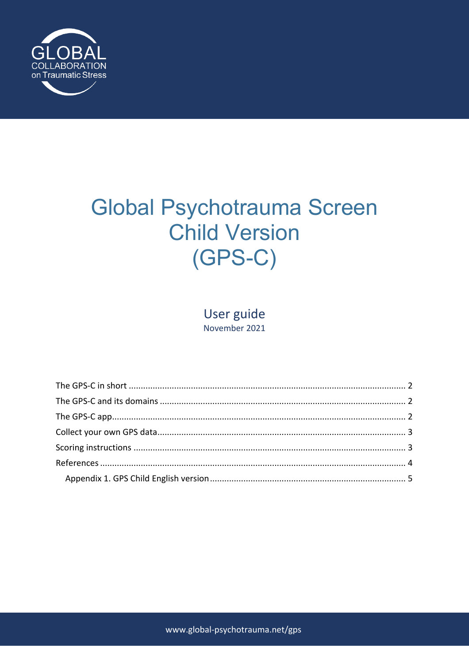

# Global Psychotrauma Screen **Child Version**  $(GPS-C)$

User guide November 2021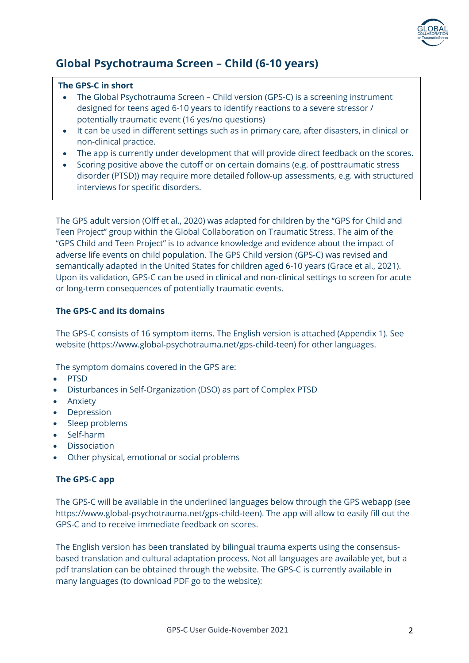

# **Global Psychotrauma Screen – Child (6-10 years)**

#### **The GPS-C in short**

- The Global Psychotrauma Screen Child version (GPS-C) is a screening instrument designed for teens aged 6-10 years to identify reactions to a severe stressor / potentially traumatic event (16 yes/no questions)
- It can be used in different settings such as in primary care, after disasters, in clinical or non-clinical practice.
- The app is currently under development that will provide direct feedback on the scores.
- Scoring positive above the cutoff or on certain domains (e.g. of posttraumatic stress disorder (PTSD)) may require more detailed follow-up assessments, e.g. with structured interviews for specific disorders.

The GPS adult version (Olff et al., 2020) was adapted for children by the "GPS for Child and Teen Project" group within the Global Collaboration on Traumatic Stress. The aim of the "GPS Child and Teen Project" is to advance knowledge and evidence about the impact of adverse life events on child population. The GPS Child version (GPS-C) was revised and semantically adapted in the United States for children aged 6-10 years (Grace et al., 2021). Upon its validation, GPS-C can be used in clinical and non-clinical settings to screen for acute or long-term consequences of potentially traumatic events.

## **The GPS-C and its domains**

The GPS-C consists of 16 symptom items. The English version is attached (Appendix 1). See website (https://www.global-psychotrauma.net/gps-child-teen) for other languages.

The symptom domains covered in the GPS are:

- PTSD
- Disturbances in Self-Organization (DSO) as part of Complex PTSD
- Anxiety
- Depression
- Sleep problems
- Self-harm
- Dissociation
- Other physical, emotional or social problems

#### **The GPS-C app**

The GPS-C will be available in the underlined languages below through the GPS webapp (see https://www.global-psychotrauma.net/gps-child-teen). The app will allow to easily fill out the GPS-C and to receive immediate feedback on scores.

The English version has been translated by bilingual trauma experts using the consensusbased translation and cultural adaptation process. Not all languages are available yet, but a pdf translation can be obtained through the website. The GPS-C is currently available in many languages (to download PDF go to the website):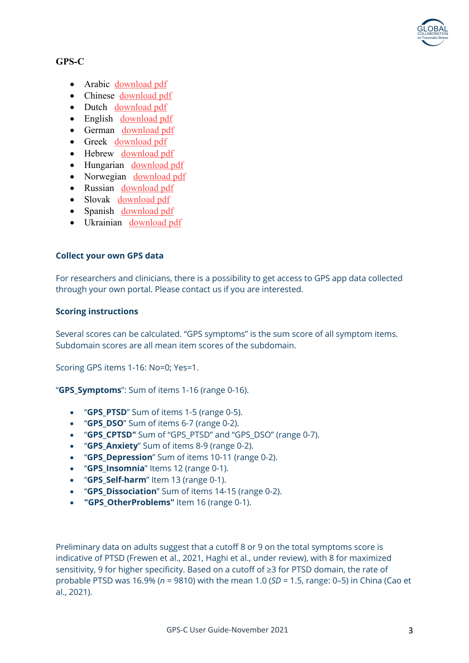

# **GPS-C**

- Arabic download pdf
- Chinese download pdf
- Dutch download pdf
- English download pdf
- German download pdf
- Greek download pdf
- Hebrew download pdf
- Hungarian download pdf
- Norwegian download pdf
- Russian download pdf
- Slovak download pdf
- Spanish download pdf
- Ukrainian download pdf

## **Collect your own GPS data**

For researchers and clinicians, there is a possibility to get access to GPS app data collected through your own portal. Please contact us if you are interested.

#### **Scoring instructions**

Several scores can be calculated. "GPS symptoms" is the sum score of all symptom items. Subdomain scores are all mean item scores of the subdomain.

Scoring GPS items 1-16: No=0; Yes=1.

"**GPS\_Symptoms**": Sum of items 1-16 (range 0-16).

- "**GPS\_PTSD**" Sum of items 1-5 (range 0-5).
- "**GPS\_DSO**" Sum of items 6-7 (range 0-2).
- "**GPS\_CPTSD"** Sum of "GPS\_PTSD" and "GPS\_DSO" (range 0-7).
- "**GPS\_Anxiety**" Sum of items 8-9 (range 0-2).
- "**GPS\_Depression**" Sum of items 10-11 (range 0-2).
- "**GPS\_Insomnia**" Items 12 (range 0-1).
- "**GPS\_Self-harm**" Item 13 (range 0-1).
- "**GPS\_Dissociation**" Sum of items 14-15 (range 0-2).
- **"GPS\_OtherProblems"** Item 16 (range 0-1).

Preliminary data on adults suggest that a cutoff 8 or 9 on the total symptoms score is indicative of PTSD (Frewen et al., 2021, Haghi et al., under review), with 8 for maximized sensitivity, 9 for higher specificity. Based on a cutoff of ≥3 for PTSD domain, the rate of probable PTSD was 16.9% (*n* = 9810) with the mean 1.0 (*SD* = 1.5, range: 0–5) in China (Cao et al., 2021).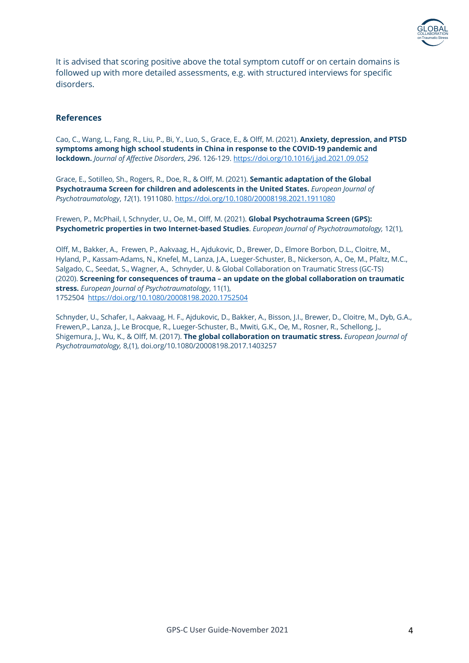

It is advised that scoring positive above the total symptom cutoff or on certain domains is followed up with more detailed assessments, e.g. with structured interviews for specific disorders.

#### **References**

Cao, C., Wang, L., Fang, R., Liu, P., Bi, Y., Luo, S., Grace, E., & Olff, M. (2021). **Anxiety, depression, and PTSD symptoms among high school students in China in response to the COVID-19 pandemic and lockdown.** *Journal of Affective Disorders*, *296*. 126-129. https://doi.org/10.1016/j.jad.2021.09.052

Grace, E., Sotilleo, Sh., Rogers, R., Doe, R., & Olff, M. (2021). **Semantic adaptation of the Global Psychotrauma Screen for children and adolescents in the United States.** *European Journal of Psychotraumatology*, *12*(1). 1911080. https://doi.org/10.1080/20008198.2021.1911080

Frewen, P., McPhail, I, Schnyder, U., Oe, M., Olff, M. (2021). **Global Psychotrauma Screen (GPS): Psychometric properties in two Internet-based Studies**. *European Journal of Psychotraumatology,* 12(1),

Olff, M., Bakker, A., Frewen, P., Aakvaag, H., Ajdukovic, D., Brewer, D., Elmore Borbon, D.L., Cloitre, M., Hyland, P., Kassam-Adams, N., Knefel, M., Lanza, J.A., Lueger-Schuster, B., Nickerson, A., Oe, M., Pfaltz, M.C., Salgado, C., Seedat, S., Wagner, A., Schnyder, U. & Global Collaboration on Traumatic Stress (GC-TS) (2020). **Screening for consequences of trauma – an update on the global collaboration on traumatic stress.** *European Journal of Psychotraumatology*, 11(1), 1752504 https://doi.org/10.1080/20008198.2020.1752504

Schnyder, U., Schafer, I., Aakvaag, H. F., Ajdukovic, D., Bakker, A., Bisson, J.I., Brewer, D., Cloitre, M., Dyb, G.A., Frewen,P., Lanza, J., Le Brocque, R., Lueger-Schuster, B., Mwiti, G.K., Oe, M., Rosner, R., Schellong, J., Shigemura, J., Wu, K., & Olff, M. (2017). **The global collaboration on traumatic stress.** *European Journal of Psychotraumatology,* 8,(1), doi.org/10.1080/20008198.2017.1403257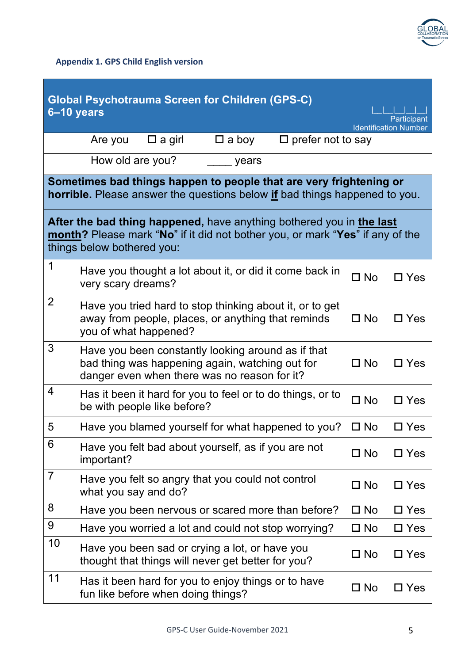

**Appendix 1. GPS Child English version**

| <b>Global Psychotrauma Screen for Children (GPS-C)</b><br>6-10 years<br>Participant<br><b>Identification Number</b>                                                                 |                                                                                                                                                       |              |               |  |  |  |  |
|-------------------------------------------------------------------------------------------------------------------------------------------------------------------------------------|-------------------------------------------------------------------------------------------------------------------------------------------------------|--------------|---------------|--|--|--|--|
|                                                                                                                                                                                     | $\square$ prefer not to say<br>$\square$ a girl<br>$\square$ a boy<br>Are you                                                                         |              |               |  |  |  |  |
|                                                                                                                                                                                     | How old are you?<br>years                                                                                                                             |              |               |  |  |  |  |
| Sometimes bad things happen to people that are very frightening or<br><b>horrible.</b> Please answer the questions below if bad things happened to you.                             |                                                                                                                                                       |              |               |  |  |  |  |
| After the bad thing happened, have anything bothered you in the last<br>month? Please mark "No" if it did not bother you, or mark "Yes" if any of the<br>things below bothered you: |                                                                                                                                                       |              |               |  |  |  |  |
| 1                                                                                                                                                                                   | Have you thought a lot about it, or did it come back in<br>very scary dreams?                                                                         | $\Box$ No    | $\Box$ Yes    |  |  |  |  |
| $\overline{2}$                                                                                                                                                                      | Have you tried hard to stop thinking about it, or to get<br>away from people, places, or anything that reminds<br>you of what happened?               | $\square$ No | $\Box$ Yes    |  |  |  |  |
| 3                                                                                                                                                                                   | Have you been constantly looking around as if that<br>bad thing was happening again, watching out for<br>danger even when there was no reason for it? | $\square$ No | $\Box$ Yes    |  |  |  |  |
| 4                                                                                                                                                                                   | Has it been it hard for you to feel or to do things, or to<br>be with people like before?                                                             | $\Box$ No    | $\Box$ Yes    |  |  |  |  |
| 5                                                                                                                                                                                   | Have you blamed yourself for what happened to you?                                                                                                    | $\square$ No | $\square$ Yes |  |  |  |  |
| 6                                                                                                                                                                                   | Have you felt bad about yourself, as if you are not<br>important?                                                                                     | $\square$ No | $\Box$ Yes    |  |  |  |  |
| $\overline{7}$                                                                                                                                                                      | Have you felt so angry that you could not control<br>what you say and do?                                                                             | $\square$ No | $\Box$ Yes    |  |  |  |  |
| 8                                                                                                                                                                                   | Have you been nervous or scared more than before?                                                                                                     | $\square$ No | $\Box$ Yes    |  |  |  |  |
| 9                                                                                                                                                                                   | Have you worried a lot and could not stop worrying?                                                                                                   | $\Box$ No    | $\square$ Yes |  |  |  |  |
| 10                                                                                                                                                                                  | Have you been sad or crying a lot, or have you<br>thought that things will never get better for you?                                                  | $\square$ No | $\Box$ Yes    |  |  |  |  |
| 11                                                                                                                                                                                  | Has it been hard for you to enjoy things or to have<br>fun like before when doing things?                                                             | $\square$ No | $\square$ Yes |  |  |  |  |